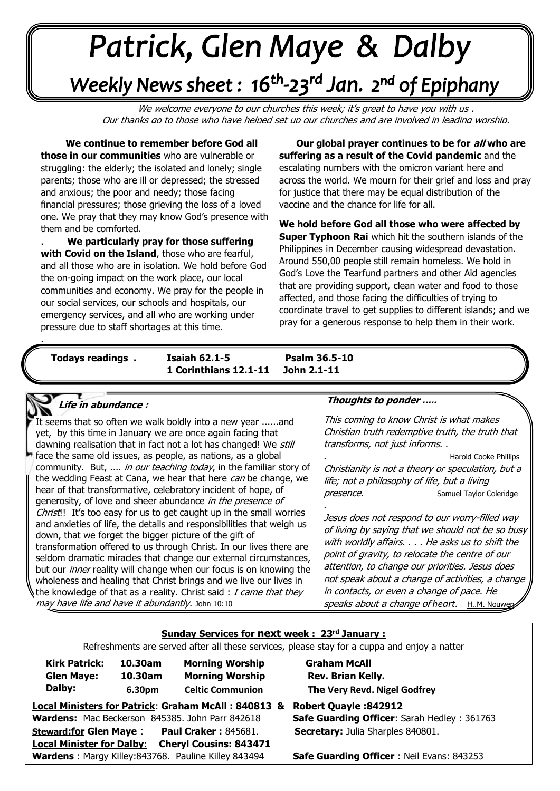# +v++++ -\*\*\*\*\*

## Weekly News sheet: 16<sup>th</sup>-23<sup>rd</sup> Jan. 2<sup>nd</sup> of Epiphany

We welcome everyone to our churches this week; it's great to have you with us, Our thanks go to those who have helped set up our churches and are involved in leading worship.

 **We continue to remember before God all those in our communities** who are vulnerable or struggling: the elderly; the isolated and lonely; single parents; those who are ill or depressed; the stressed and anxious; the poor and needy; those facing financial pressures; those grieving the loss of a loved one. We pray that they may know God's presence with them and be comforted.

**with Covid on the Island**, those who are fearful,<br>and all those who are in isolation. We hold before God  the on-going impact on the work place, our local communiues and economy. We pray for the peopi<br>our social services, our schools and hospitals, our . **We particularly pray for those suffering with Covid on the Island**, those who are fearful, communities and economy. We pray for the people in emergency services, and all who are working under pressure due to staff shortages at this time.

. **Our global prayer continues to be for all who are suffering as a result of the Covid pandemic** and the escalating numbers with the omicron variant here and across the world. We mourn for their grief and loss and pray for justice that there may be equal distribution of the vaccine and the chance for life for all.

**We hold before God all those who were affected by Super Typhoon Rai** which hit the southern islands of the Philippines in December causing widespread devastation. Around 550,00 people still remain homeless. We hold in God's Love the Tearfund partners and other Aid agencies that are providing support, clean water and food to those affected, and those facing the difficulties of trying to coordinate travel to get supplies to different islands; and we pray for a generous response to help them in their work.

. . .

*June: Trinity Sunday* **Todays readings . Isaiah 62.1-5 Psalm 36.5-10 1 Corinthians 12.1-11 John 2.1-11** 

**.** 

.

#### **Life in abundance :**

**IN SAM**<br>It seems that so often we walk boldly into a new year ......and face the same old issues, as people, as nations, as a global  community. But, .... in our teaching today, in the familiar story of yet, by this time in January we are once again facing that dawning realisation that in fact not a lot has changed! We still the wedding Feast at Cana, we hear that here can be change, we hear of that transformative, celebratory incident of hope, of generosity, of love and sheer abundance in the presence of Christ!! It's too easy for us to get caught up in the small worries and anxieties of life, the details and responsibilities that weigh us down, that we forget the bigger picture of the gift of transformation offered to us through Christ. In our lives there are seldom dramatic miracles that change our external circumstances, but our *inner* reality will change when our focus is on knowing the wholeness and healing that Christ brings and we live our lives in the knowledge of that as a reality. Christ said:  $I$  came that they may have life and have it abundantly. John 10:10

#### **Thoughts to ponder .....**

This coming to know Christ is what makes Christian truth redemptive truth, the truth that transforms, not just informs. .

. Harold Cooke Phillips Christianity is not a theory or speculation, but a life; not a philosophy of life, but a living presence. Samuel Taylor Coleridge

Jesus does not respond to our worry-filled way of living by saying that we should not be so busy with worldly affairs. . . . He asks us to shift the point of gravity, to relocate the centre of our attention, to change our priorities. Jesus does not speak about a change of activities, a change in contacts, or even a change of pace. He speaks about a change of heart. H.M. Nouwen

#### **Sunday Services for next week : 23rd January :**

Refreshments are served after all these services, please stay for a cuppa and enjoy a natter

| <b>Kirk Patrick:</b> | 10.30am | <b>Morning Wor</b>  |
|----------------------|---------|---------------------|
| <b>Glen Maye:</b>    | 10.30am | <b>Morning Wor</b>  |
| Dalby:               | 6.30pm  | <b>Celtic Commu</b> |

 **10.30am Morning Worship Graham McAll 12.30 10.30 Rev. Brian Kelly. hion 6.300 The Very Revd. Nigel Godfrey** 

|                               | Local Ministers for Patrick: Graham McAll: 840813 &         |  |
|-------------------------------|-------------------------------------------------------------|--|
|                               | Wardens: Mac Beckerson 845385. John Parr 842618             |  |
| <b>Steward:for Glen Maye:</b> | <b>Paul Craker: 845681.</b>                                 |  |
|                               | <b>Local Minister for Dalby:</b> Cheryl Cousins: 843471     |  |
|                               | <b>Wardens</b> : Margy Killey:843768. Pauline Killey 843494 |  |

**Local Ministers for Patrick**: **Graham McAll : 840813 & Robert Quayle :842912 Safe Guarding Officer: Sarah Hedley : 361763 Secretary:** Julia Sharples 840801.

**Safe Guarding Officer** : Neil Evans: 843253